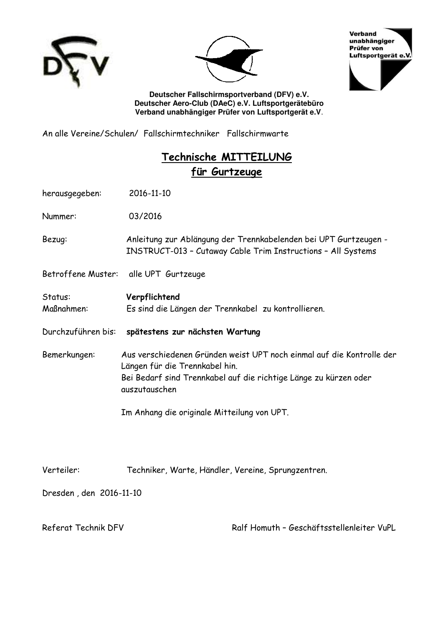





**Deutscher Fallschirmsportverband (DFV) e.V. Deutscher Aero-Club (DAeC) e.V. Luftsportgerätebüro Verband unabhängiger Prüfer von Luftsportgerät e.V**.

An alle Vereine/Schulen/ Fallschirmtechniker Fallschirmwarte

## **Technische MITTEILUNG für Gurtzeuge**

herausgegeben: 2016-11-10

Nummer: 03/2016

Bezug: Anleitung zur Ablängung der Trennkabelenden bei UPT Gurtzeugen - INSTRUCT-013 – Cutaway Cable Trim Instructions – All Systems

Betroffene Muster: alle UPT Gurtzeuge

Status: **Verpflichtend** Maßnahmen: Es sind die Längen der Trennkabel zu kontrollieren.

- Durchzuführen bis: **spätestens zur nächsten Wartung**
- Bemerkungen: Aus verschiedenen Gründen weist UPT noch einmal auf die Kontrolle der Längen für die Trennkabel hin. Bei Bedarf sind Trennkabel auf die richtige Länge zu kürzen oder auszutauschen

Im Anhang die originale Mitteilung von UPT.

Verteiler: Techniker, Warte, Händler, Vereine, Sprungzentren.

Dresden , den 2016-11-10

Referat Technik DFV Ralf Homuth – Geschäftsstellenleiter VuPL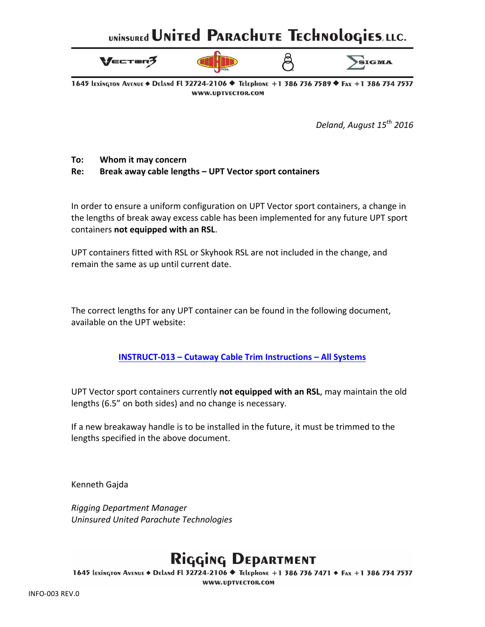# UNINSUREd UNITEd PARACHUTE TECHNOLOGIES, LLC.



1645 LEXINGTON AVENUE ♦ DELAND FL 32724-2106 ♦ TELEPHONE +1 386 756 7589 ♦ FAX +1 386 734 7537 WWW.UPTVECTOR.COM

*Deland, August 15 th 2016*

#### **To:** Whom it may concern

#### **Re: Break away cable lengths – UPT Vector sport containers**

In order to ensure a uniform configuration on UPT Vector sport containers, a change in the lengths of break away excess cable has been implemented for any future UPT sport containers not equipped with an RSL.

UPT containers fitted with RSL or Skyhook RSL are not included in the change, and remain the same as up until current date.

The correct lengths for any UPT container can be found in the following document, available on the UPT website:

**INSTRUCT-013 – [Cutaway Cable Trim Instructions –](http://uptvector.com/PDF/Support/Sport/CUTAWAY_CABLE_TRIM_INSTRUCTIONS_REV1.pdf) All Systems**

UPT Vector sport containers currently not equipped with an RSL, may maintain the old lengths (6.5" on both sides) and no change is necessary.

If a new breakaway handle is to be installed in the future, it must be trimmed to the lengths specified in the above document.

Kenneth Gajda

*Rigging Department Manager Uninsured United Parachute Technologies*

# Rigging DEPARTMENT

1645 LEXINGTON AVENUE ♦ DELAND FL 32724-2106 ♦ TELEPHONE +1 386 736 7471 ♦ FAX +1 386 734 7537 WWW.UPTVECTOR.COM

INFO-003 REV.0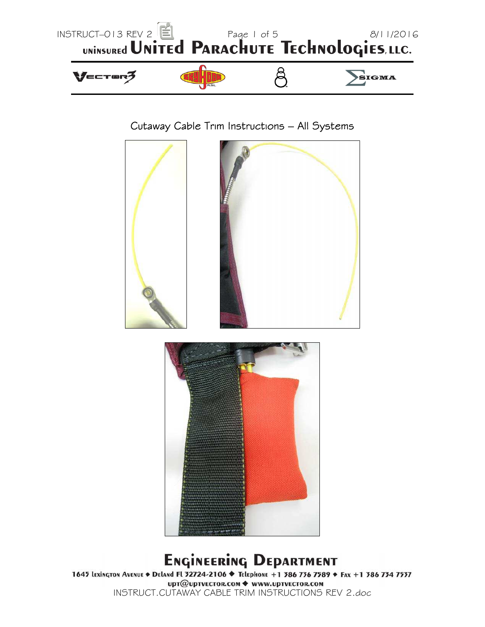

## Cutaway Cable Trim Instructions – All Systems





# **Engineering Department**

1645 Lexington Avenue + Deland Fl 32724-2106 → Telephone +1 386 736 7589 + Fax +1 386 734 7537 upт@upтvECTOR.COM ◆ www.upтvECTOR.COM INSTRUCT.CUTAWAY CABLE TRIM INSTRUCTIONS REV 2.doc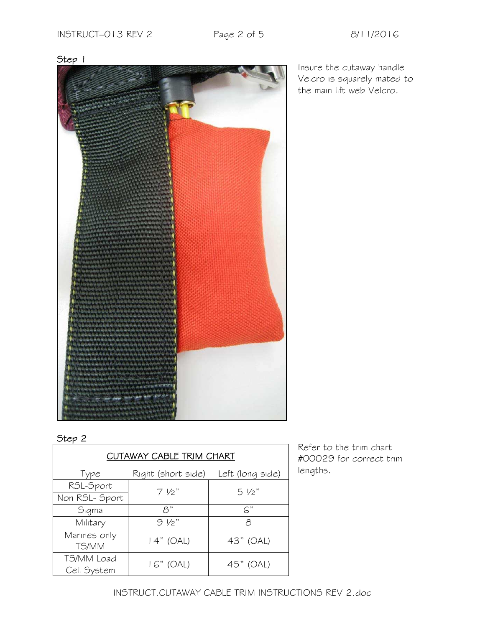Insure the cutaway handle Velcro is squarely mated to the main lift web Velcro.



Step 1

### Step 2

| CUTAWAY CABLE TRIM CHART    |                    |                  |
|-----------------------------|--------------------|------------------|
| Type                        | Right (short side) | Left (long side) |
| RSL-Sport<br>Non RSL- Sport | $7\frac{1}{2}$     | $5\frac{1}{2}$   |
| Sigma                       | $\beta$ "          | $\mathsf{G}$ "   |
| Military                    | $9\frac{1}{2}$     | Β                |
| Marines only<br>TS/MM       | $14"$ (OAL)        | 43" (OAL)        |
| TS/MM Load<br>Cell System   | $16"$ (OAL)        | 45" (OAL)        |

Refer to the trim chart #00029 for correct trim lengths.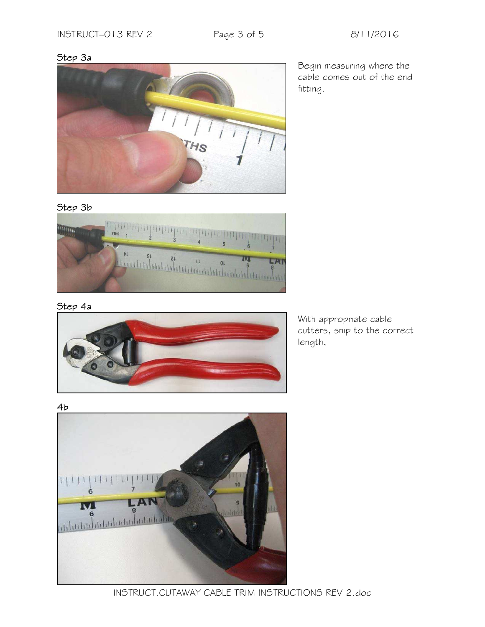#### Step 3a



Begin measuring where the cable comes out of the end fitting.

#### Step 3b



#### Step 4a



With appropriate cable cutters, snip to the correct length,

4b



INSTRUCT.CUTAWAY CABLE TRIM INSTRUCTIONS REV 2.doc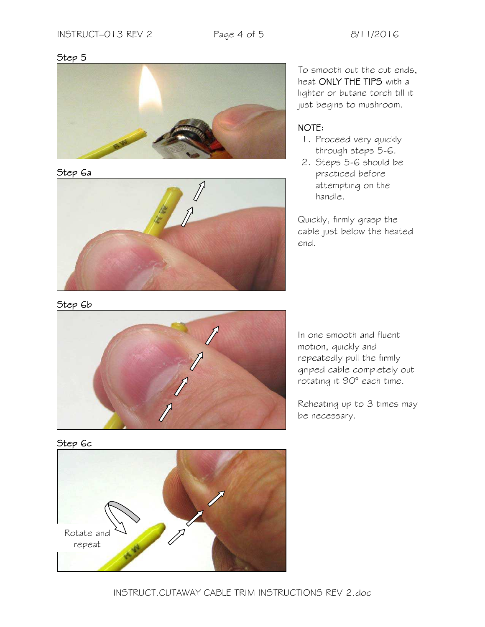#### Step 5



#### Step 6a



To smooth out the cut ends, heat ONLY THE TIPS with a lighter or butane torch till it just begins to mushroom.

### NOTE:

- 1. Proceed very quickly through steps 5-6.
- 2. Steps 5-6 should be practiced before attempting on the handle.

Quickly, firmly grasp the cable just below the heated end.





In one smooth and fluent motion, quickly and repeatedly pull the firmly griped cable completely out rotating it 90° each time.

Reheating up to 3 times may be necessary.